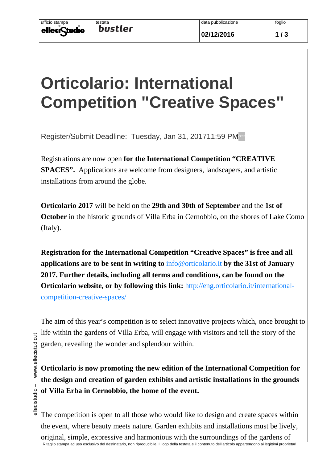**02/12/2016 1 / 3**

## **Orticolario: International Competition "Creative Spaces"**

Register/Submit Deadline: Tuesday, Jan 31, 201711:59 PM

Registrations are now open **for the International Competition "CREATIVE SPACES".** Applications are welcome from designers, landscapers, and artistic installations from around the globe.

**Orticolario 2017** will be held on the **29th and 30th of September** and the **1st of October** in the historic grounds of Villa Erba in Cernobbio, on the shores of Lake Como (Italy).

**Registration for the International Competition "Creative Spaces" is free and all applications are to be sent in writing to** info@orticolario.it **by the 31st of January 2017. Further details, including all terms and conditions, can be found on the Orticolario website, or by following this link:** http://eng.orticolario.it/internationalcompetition-creative-spaces/

The aim of this year's competition is to select innovative projects which, once brought to life within the gardens of Villa Erba, will engage with visitors and tell the story of the garden, revealing the wonder and splendour within.

**Orticolario is now promoting the new edition of the International Competition for the design and creation of garden exhibits and artistic installations in the grounds of Villa Erba in Cernobbio, the home of the event.**

The competition is open to all those who would like to design and create spaces within the event, where beauty meets nature. Garden exhibits and installations must be lively, original, simple, expressive and harmonious with the surroundings of the gardens of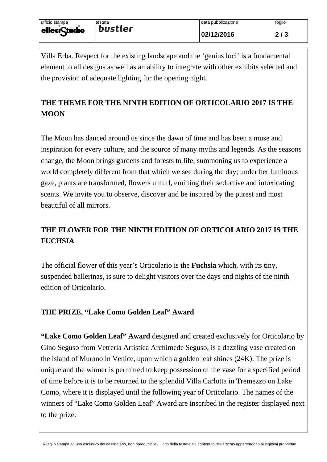Villa Erba. Respect for the existing landscape and the 'genius loci' is a fundamental element to all designs as well as an ability to integrate with other exhibits selected and the provision of adequate lighting for the opening night.

## **THE THEME FOR THE NINTH EDITION OF ORTICOLARIO 2017 IS THE MOON**

The Moon has danced around us since the dawn of time and has been a muse and inspiration for every culture, and the source of many myths and legends. As the seasons change, the Moon brings gardens and forests to life, summoning us to experience a world completely different from that which we see during the day; under her luminous gaze, plants are transformed, flowers unfurl, emitting their seductive and intoxicating scents. We invite you to observe, discover and be inspired by the purest and most beautiful of all mirrors.

## **THE FLOWER FOR THE NINTH EDITION OF ORTICOLARIO 2017 IS THE FUCHSIA**

The official flower of this year's Orticolario is the **Fuchsia** which, with its tiny, suspended ballerinas, is sure to delight visitors over the days and nights of the ninth edition of Orticolario.

## **THE PRIZE, "Lake Como Golden Leaf" Award**

**"Lake Como Golden Leaf" Award** designed and created exclusively for Orticolario by Gino Seguso from Vetreria Artistica Archimede Seguso, is a dazzling vase created on the island of Murano in Venice, upon which a golden leaf shines (24K). The prize is unique and the winner is permitted to keep possession of the vase for a specified period of time before it is to be returned to the splendid Villa Carlotta in Tremezzo on Lake Como, where it is displayed until the following year of Orticolario. The names of the winners of "Lake Como Golden Leaf" Award are inscribed in the register displayed next to the prize.